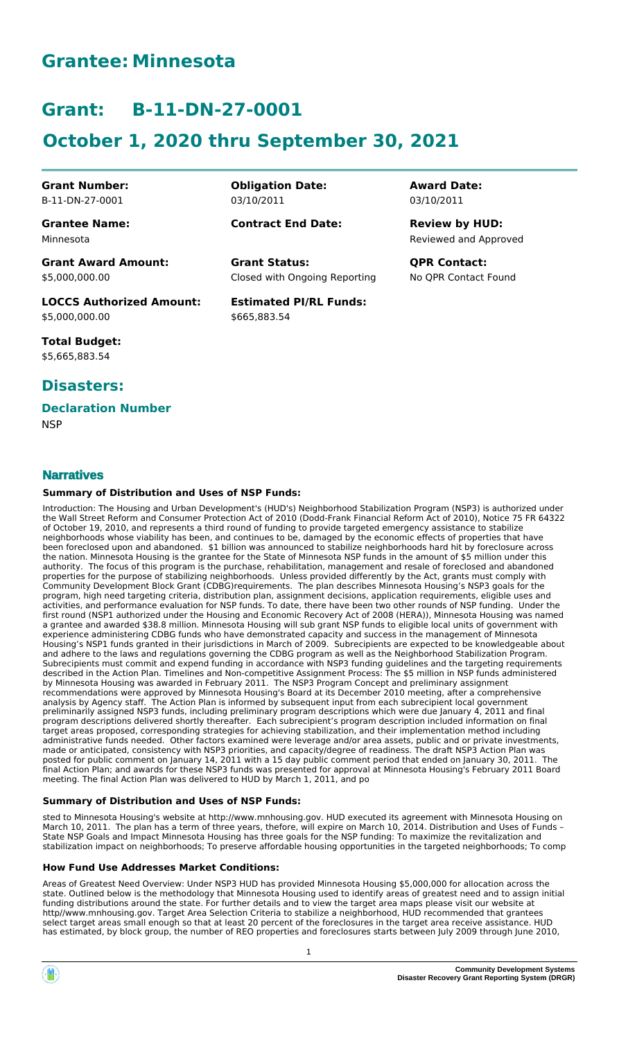## **Grantee: Minnesota**

# **Grant: B-11-DN-27-0001**

# **October 1, 2020 thru September 30, 2021**

**Grant Number:** B-11-DN-27-0001

**Grantee Name:** Minnesota

**Grant Award Amount:** \$5,000,000.00

**LOCCS Authorized Amount:** \$5,000,000.00

**Total Budget:** \$5,665,883.54

### **Disasters:**

**Narratives**

#### **Declaration Number**

**NSP** 

**Obligation Date:** 03/10/2011

**Contract End Date:**

Closed with Ongoing Reporting **Grant Status: QPR Contact:**

**Estimated PI/RL Funds:** \$665,883.54

**Award Date:** 03/10/2011

Reviewed and Approved **Review by HUD:**

No QPR Contact Found

Introduction: The Housing and Urban Development's (HUD's) Neighborhood Stabilization Program (NSP3) is authorized under the Wall Street Reform and Consumer Protection Act of 2010 (Dodd-Frank Financial Reform Act of 2010), Notice 75 FR 64322 of October 19, 2010, and represents a third round of funding to provide targeted emergency assistance to stabilize neighborhoods whose viability has been, and continues to be, damaged by the economic effects of properties that have been foreclosed upon and abandoned. \$1 billion was announced to stabilize neighborhoods hard hit by foreclosure across

**Summary of Distribution and Uses of NSP Funds:**

the nation. Minnesota Housing is the grantee for the State of Minnesota NSP funds in the amount of \$5 million under this authority. The focus of this program is the purchase, rehabilitation, management and resale of foreclosed and abandoned properties for the purpose of stabilizing neighborhoods. Unless provided differently by the Act, grants must comply with Community Development Block Grant (CDBG)requirements. The plan describes Minnesota Housing's NSP3 goals for the program, high need targeting criteria, distribution plan, assignment decisions, application requirements, eligible uses and activities, and performance evaluation for NSP funds. To date, there have been two other rounds of NSP funding. Under the first round (NSP1 authorized under the Housing and Economic Recovery Act of 2008 (HERA)), Minnesota Housing was named a grantee and awarded \$38.8 million. Minnesota Housing will sub grant NSP funds to eligible local units of government with experience administering CDBG funds who have demonstrated capacity and success in the management of Minnesota Housing's NSP1 funds granted in their jurisdictions in March of 2009. Subrecipients are expected to be knowledgeable about and adhere to the laws and regulations governing the CDBG program as well as the Neighborhood Stabilization Program. Subrecipients must commit and expend funding in accordance with NSP3 funding guidelines and the targeting requirements described in the Action Plan. Timelines and Non-competitive Assignment Process: The \$5 million in NSP funds administered by Minnesota Housing was awarded in February 2011. The NSP3 Program Concept and preliminary assignment recommendations were approved by Minnesota Housing's Board at its December 2010 meeting, after a comprehensive analysis by Agency staff. The Action Plan is informed by subsequent input from each subrecipient local government preliminarily assigned NSP3 funds, including preliminary program descriptions which were due January 4, 2011 and final program descriptions delivered shortly thereafter. Each subrecipient's program description included information on final target areas proposed, corresponding strategies for achieving stabilization, and their implementation method including administrative funds needed. Other factors examined were leverage and/or area assets, public and or private investments, made or anticipated, consistency with NSP3 priorities, and capacity/degree of readiness. The draft NSP3 Action Plan was posted for public comment on January 14, 2011 with a 15 day public comment period that ended on January 30, 2011. The final Action Plan; and awards for these NSP3 funds was presented for approval at Minnesota Housing's February 2011 Board meeting. The final Action Plan was delivered to HUD by March 1, 2011, and po

#### **Summary of Distribution and Uses of NSP Funds:**

sted to Minnesota Housing's website at http://www.mnhousing.gov. HUD executed its agreement with Minnesota Housing on March 10, 2011. The plan has a term of three years, thefore, will expire on March 10, 2014. Distribution and Uses of Funds – State NSP Goals and Impact Minnesota Housing has three goals for the NSP funding: To maximize the revitalization and stabilization impact on neighborhoods; To preserve affordable housing opportunities in the targeted neighborhoods; To comp

#### **How Fund Use Addresses Market Conditions:**

Areas of Greatest Need Overview: Under NSP3 HUD has provided Minnesota Housing \$5,000,000 for allocation across the state. Outlined below is the methodology that Minnesota Housing used to identify areas of greatest need and to assign initial funding distributions around the state. For further details and to view the target area maps please visit our website at http//www.mnhousing.gov. Target Area Selection Criteria to stabilize a neighborhood, HUD recommended that grantees select target areas small enough so that at least 20 percent of the foreclosures in the target area receive assistance. HUD has estimated, by block group, the number of REO properties and foreclosures starts between July 2009 through June 2010,



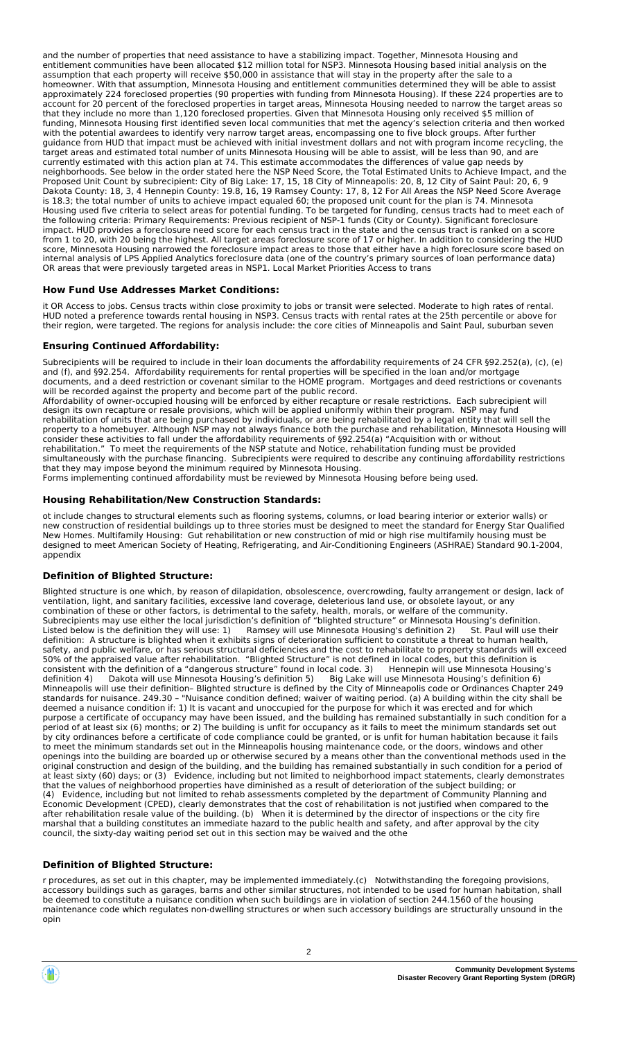and the number of properties that need assistance to have a stabilizing impact. Together, Minnesota Housing and entitlement communities have been allocated \$12 million total for NSP3. Minnesota Housing based initial analysis on the assumption that each property will receive \$50,000 in assistance that will stay in the property after the sale to a homeowner. With that assumption, Minnesota Housing and entitlement communities determined they will be able to assist approximately 224 foreclosed properties (90 properties with funding from Minnesota Housing). If these 224 properties are to account for 20 percent of the foreclosed properties in target areas, Minnesota Housing needed to narrow the target areas so that they include no more than 1,120 foreclosed properties. Given that Minnesota Housing only received \$5 million of funding, Minnesota Housing first identified seven local communities that met the agency's selection criteria and then worked with the potential awardees to identify very narrow target areas, encompassing one to five block groups. After further guidance from HUD that impact must be achieved with initial investment dollars and not with program income recycling, the target areas and estimated total number of units Minnesota Housing will be able to assist, will be less than 90, and are currently estimated with this action plan at 74. This estimate accommodates the differences of value gap needs by neighborhoods. See below in the order stated here the NSP Need Score, the Total Estimated Units to Achieve Impact, and the Proposed Unit Count by subrecipient: City of Big Lake: 17, 15, 18 City of Minneapolis: 20, 8, 12 City of Saint Paul: 20, 6, 9 Dakota County: 18, 3, 4 Hennepin County: 19.8, 16, 19 Ramsey County: 17, 8, 12 For All Areas the NSP Need Score Average is 18.3; the total number of units to achieve impact equaled 60; the proposed unit count for the plan is 74. Minnesota Housing used five criteria to select areas for potential funding. To be targeted for funding, census tracts had to meet each of the following criteria: Primary Requirements: Previous recipient of NSP-1 funds (City or County). Significant foreclosure impact. HUD provides a foreclosure need score for each census tract in the state and the census tract is ranked on a score from 1 to 20, with 20 being the highest. All target areas foreclosure score of 17 or higher. In addition to considering the HUD score, Minnesota Housing narrowed the foreclosure impact areas to those that either have a high foreclosure score based on internal analysis of LPS Applied Analytics foreclosure data (one of the country's primary sources of loan performance data) OR areas that were previously targeted areas in NSP1. Local Market Priorities Access to trans

#### **How Fund Use Addresses Market Conditions:**

it OR Access to jobs. Census tracts within close proximity to jobs or transit were selected. Moderate to high rates of rental. HUD noted a preference towards rental housing in NSP3. Census tracts with rental rates at the 25th percentile or above for their region, were targeted. The regions for analysis include: the core cities of Minneapolis and Saint Paul, suburban seven

#### **Ensuring Continued Affordability:**

Subrecipients will be required to include in their loan documents the affordability requirements of 24 CFR §92.252(a), (c), (e) and (f), and §92.254. Affordability requirements for rental properties will be specified in the loan and/or mortgage documents, and a deed restriction or covenant similar to the HOME program. Mortgages and deed restrictions or covenants will be recorded against the property and become part of the public record.

Affordability of owner-occupied housing will be enforced by either recapture or resale restrictions. Each subrecipient will design its own recapture or resale provisions, which will be applied uniformly within their program. NSP may fund rehabilitation of units that are being purchased by individuals, or are being rehabilitated by a legal entity that will sell the property to a homebuyer. Although NSP may not always finance both the purchase and rehabilitation, Minnesota Housing will consider these activities to fall under the affordability requirements of §92.254(a) "Acquisition with or without rehabilitation." To meet the requirements of the NSP statute and Notice, rehabilitation funding must be provided simultaneously with the purchase financing. Subrecipients were required to describe any continuing affordability restrictions that they may impose beyond the minimum required by Minnesota Housing.

Forms implementing continued affordability must be reviewed by Minnesota Housing before being used.

#### **Housing Rehabilitation/New Construction Standards:**

ot include changes to structural elements such as flooring systems, columns, or load bearing interior or exterior walls) or new construction of residential buildings up to three stories must be designed to meet the standard for Energy Star Qualified New Homes. Multifamily Housing: Gut rehabilitation or new construction of mid or high rise multifamily housing must be designed to meet American Society of Heating, Refrigerating, and Air-Conditioning Engineers (ASHRAE) Standard 90.1-2004, appendix

#### **Definition of Blighted Structure:**

Blighted structure is one which, by reason of dilapidation, obsolescence, overcrowding, faulty arrangement or design, lack of ventilation, light, and sanitary facilities, excessive land coverage, deleterious land use, or obsolete layout, or any combination of these or other factors, is detrimental to the safety, health, morals, or welfare of the community. Subrecipients may use either the local jurisdiction's definition of "blighted structure" or Minnesota Housing's definition. Listed below is the definition they will use: 1) Ramsey will use Minnesota Housing's definition 2) St. Paul will use their definition: A structure is blighted when it exhibits signs of deterioration sufficient to constitute a threat to human health, safety, and public welfare, or has serious structural deficiencies and the cost to rehabilitate to property standards will exceed 50% of the appraised value after rehabilitation. "Blighted Structure" is not defined in local codes, but this definition is consistent with the definition of a "dangerous structure" found in local code. 3) Hennepin will use Minnesota Housing's definition 4) Dakota will use Minnesota Housing's definition 5) Big Lake will use Minnesota Housing's definition 6) Minneapolis will use their definition– Blighted structure is defined by the City of Minneapolis code or Ordinances Chapter 249 standards for nuisance. 249.30 – "Nuisance condition defined; waiver of waiting period. (a) A building within the city shall be deemed a nuisance condition if: 1) It is vacant and unoccupied for the purpose for which it was erected and for which purpose a certificate of occupancy may have been issued, and the building has remained substantially in such condition for a period of at least six (6) months; or 2) The building is unfit for occupancy as it fails to meet the minimum standards set out by city ordinances before a certificate of code compliance could be granted, or is unfit for human habitation because it fails to meet the minimum standards set out in the Minneapolis housing maintenance code, or the doors, windows and other openings into the building are boarded up or otherwise secured by a means other than the conventional methods used in the original construction and design of the building, and the building has remained substantially in such condition for a period of at least sixty (60) days; or (3) Evidence, including but not limited to neighborhood impact statements, clearly demonstrates that the values of neighborhood properties have diminished as a result of deterioration of the subject building; or (4) Evidence, including but not limited to rehab assessments completed by the department of Community Planning and Economic Development (CPED), clearly demonstrates that the cost of rehabilitation is not justified when compared to the after rehabilitation resale value of the building. (b) When it is determined by the director of inspections or the city fire marshal that a building constitutes an immediate hazard to the public health and safety, and after approval by the city council, the sixty-day waiting period set out in this section may be waived and the othe

#### **Definition of Blighted Structure:**

r procedures, as set out in this chapter, may be implemented immediately.(c) Notwithstanding the foregoing provisions, accessory buildings such as garages, barns and other similar structures, not intended to be used for human habitation, shall be deemed to constitute a nuisance condition when such buildings are in violation of section 244.1560 of the housing maintenance code which regulates non-dwelling structures or when such accessory buildings are structurally unsound in the opin

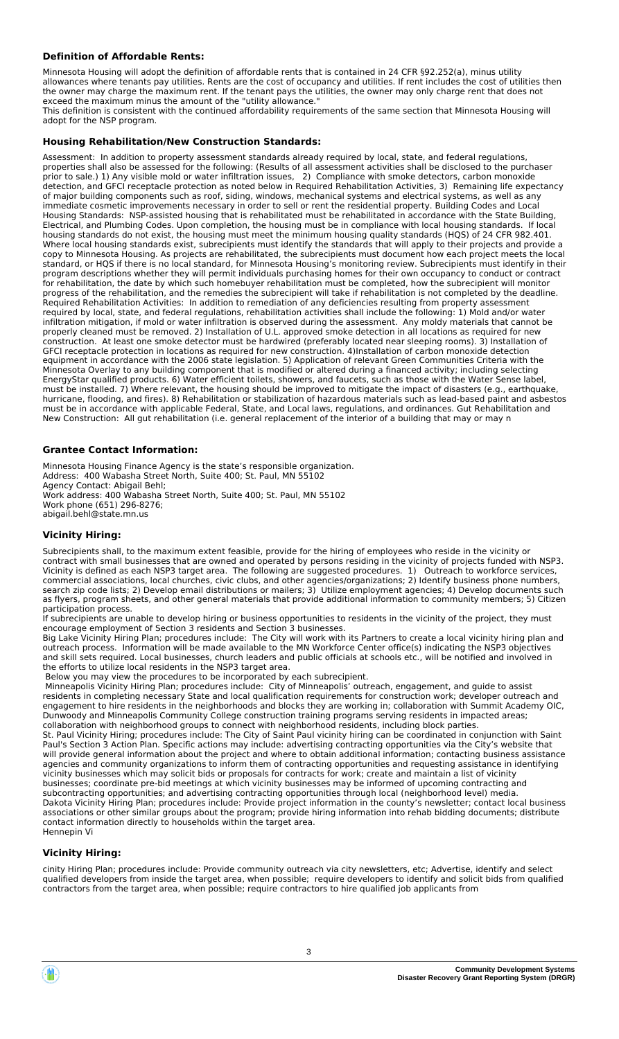#### **Definition of Affordable Rents:**

Minnesota Housing will adopt the definition of affordable rents that is contained in 24 CFR §92.252(a), minus utility allowances where tenants pay utilities. Rents are the cost of occupancy and utilities. If rent includes the cost of utilities then the owner may charge the maximum rent. If the tenant pays the utilities, the owner may only charge rent that does not exceed the maximum minus the amount of the "utility allowance." This definition is consistent with the continued affordability requirements of the same section that Minnesota Housing will adopt for the NSP program.

#### **Housing Rehabilitation/New Construction Standards:**

Assessment: In addition to property assessment standards already required by local, state, and federal regulations, properties shall also be assessed for the following: (Results of all assessment activities shall be disclosed to the purchaser prior to sale.) 1) Any visible mold or water infiltration issues, 2) Compliance with smoke detectors, carbon monoxide detection, and GFCI receptacle protection as noted below in Required Rehabilitation Activities, 3) Remaining life expectancy of major building components such as roof, siding, windows, mechanical systems and electrical systems, as well as any immediate cosmetic improvements necessary in order to sell or rent the residential property. Building Codes and Local Housing Standards: NSP-assisted housing that is rehabilitated must be rehabilitated in accordance with the State Building, Electrical, and Plumbing Codes. Upon completion, the housing must be in compliance with local housing standards. If local housing standards do not exist, the housing must meet the minimum housing quality standards (HQS) of 24 CFR 982.401. Where local housing standards exist, subrecipients must identify the standards that will apply to their projects and provide a copy to Minnesota Housing. As projects are rehabilitated, the subrecipients must document how each project meets the local standard, or HQS if there is no local standard, for Minnesota Housing's monitoring review. Subrecipients must identify in their program descriptions whether they will permit individuals purchasing homes for their own occupancy to conduct or contract for rehabilitation, the date by which such homebuyer rehabilitation must be completed, how the subrecipient will monitor progress of the rehabilitation, and the remedies the subrecipient will take if rehabilitation is not completed by the deadline. Required Rehabilitation Activities: In addition to remediation of any deficiencies resulting from property assessment required by local, state, and federal regulations, rehabilitation activities shall include the following: 1) Mold and/or water infiltration mitigation, if mold or water infiltration is observed during the assessment. Any moldy materials that cannot be properly cleaned must be removed. 2) Installation of U.L. approved smoke detection in all locations as required for new construction. At least one smoke detector must be hardwired (preferably located near sleeping rooms). 3) Installation of GFCI receptacle protection in locations as required for new construction. 4)Installation of carbon monoxide detection equipment in accordance with the 2006 state legislation. 5) Application of relevant Green Communities Criteria with the Minnesota Overlay to any building component that is modified or altered during a financed activity; including selecting EnergyStar qualified products. 6) Water efficient toilets, showers, and faucets, such as those with the Water Sense label, must be installed. 7) Where relevant, the housing should be improved to mitigate the impact of disasters (e.g., earthquake, hurricane, flooding, and fires). 8) Rehabilitation or stabilization of hazardous materials such as lead-based paint and asbestos must be in accordance with applicable Federal, State, and Local laws, regulations, and ordinances. Gut Rehabilitation and New Construction: All gut rehabilitation (i.e. general replacement of the interior of a building that may or may n

#### **Grantee Contact Information:**

Minnesota Housing Finance Agency is the state's responsible organization. Address: 400 Wabasha Street North, Suite 400; St. Paul, MN 55102 Agency Contact: Abigail Behl; Work address: 400 Wabasha Street North, Suite 400; St. Paul, MN 55102 Work phone (651) 296-8276; abigail.behl@state.mn.us

#### **Vicinity Hiring:**

Subrecipients shall, to the maximum extent feasible, provide for the hiring of employees who reside in the vicinity or contract with small businesses that are owned and operated by persons residing in the vicinity of projects funded with NSP3. Vicinity is defined as each NSP3 target area. The following are suggested procedures. 1) Outreach to workforce services, commercial associations, local churches, civic clubs, and other agencies/organizations; 2) Identify business phone numbers, search zip code lists; 2) Develop email distributions or mailers; 3) Utilize employment agencies; 4) Develop documents such as flyers, program sheets, and other general materials that provide additional information to community members; 5) Citizen participation process.

If subrecipients are unable to develop hiring or business opportunities to residents in the vicinity of the project, they must encourage employment of Section 3 residents and Section 3 businesses.

Big Lake Vicinity Hiring Plan; procedures include: The City will work with its Partners to create a local vicinity hiring plan and outreach process. Information will be made available to the MN Workforce Center office(s) indicating the NSP3 objectives and skill sets required. Local businesses, church leaders and public officials at schools etc., will be notified and involved in the efforts to utilize local residents in the NSP3 target area.

Below you may view the procedures to be incorporated by each subrecipient.

 Minneapolis Vicinity Hiring Plan; procedures include: City of Minneapolis' outreach, engagement, and guide to assist residents in completing necessary State and local qualification requirements for construction work; developer outreach and engagement to hire residents in the neighborhoods and blocks they are working in; collaboration with Summit Academy OIC, Dunwoody and Minneapolis Community College construction training programs serving residents in impacted areas; collaboration with neighborhood groups to connect with neighborhood residents, including block parties.

St. Paul Vicinity Hiring; procedures include: The City of Saint Paul vicinity hiring can be coordinated in conjunction with Saint Paul's Section 3 Action Plan. Specific actions may include: advertising contracting opportunities via the City's website that will provide general information about the project and where to obtain additional information; contacting business assistance agencies and community organizations to inform them of contracting opportunities and requesting assistance in identifying vicinity businesses which may solicit bids or proposals for contracts for work; create and maintain a list of vicinity businesses; coordinate pre-bid meetings at which vicinity businesses may be informed of upcoming contracting and subcontracting opportunities; and advertising contracting opportunities through local (neighborhood level) media. Dakota Vicinity Hiring Plan; procedures include: Provide project information in the county's newsletter; contact local business associations or other similar groups about the program; provide hiring information into rehab bidding documents; distribute contact information directly to households within the target area. Hennepin Vi

#### **Vicinity Hiring:**

cinity Hiring Plan; procedures include: Provide community outreach via city newsletters, etc; Advertise, identify and select qualified developers from inside the target area, when possible; require developers to identify and solicit bids from qualified contractors from the target area, when possible; require contractors to hire qualified job applicants from

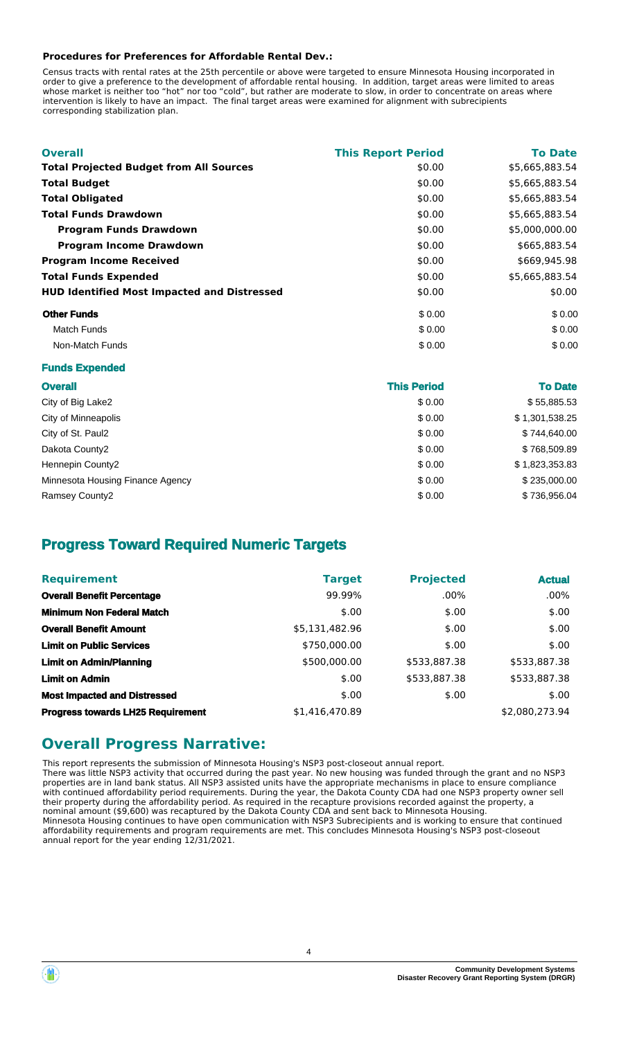#### **Procedures for Preferences for Affordable Rental Dev.:**

Census tracts with rental rates at the 25th percentile or above were targeted to ensure Minnesota Housing incorporated in order to give a preference to the development of affordable rental housing. In addition, target areas were limited to areas whose market is neither too "hot" nor too "cold", but rather are moderate to slow, in order to concentrate on areas where intervention is likely to have an impact. The final target areas were examined for alignment with subrecipients corresponding stabilization plan.

| <b>Overall</b>                                     | <b>This Report Period</b> | <b>To Date</b> |
|----------------------------------------------------|---------------------------|----------------|
| <b>Total Projected Budget from All Sources</b>     | \$0.00                    | \$5,665,883.54 |
| <b>Total Budget</b>                                | \$0.00                    | \$5,665,883.54 |
| <b>Total Obligated</b>                             | \$0.00                    | \$5,665,883.54 |
| <b>Total Funds Drawdown</b>                        | \$0.00                    | \$5,665,883.54 |
| <b>Program Funds Drawdown</b>                      | \$0.00                    | \$5,000,000.00 |
| <b>Program Income Drawdown</b>                     | \$0.00                    | \$665,883.54   |
| <b>Program Income Received</b>                     | \$0.00                    | \$669,945.98   |
| <b>Total Funds Expended</b>                        | \$0.00                    | \$5,665,883.54 |
| <b>HUD Identified Most Impacted and Distressed</b> | \$0.00                    | \$0.00         |
| <b>Other Funds</b>                                 | \$0.00                    | \$0.00         |
| <b>Match Funds</b>                                 | \$0.00                    | \$0.00         |
| Non-Match Funds                                    | \$0.00                    | \$0.00         |

|  | <b>Funds Expended</b> |
|--|-----------------------|
|--|-----------------------|

| <b>Overall</b>                   | <b>This Period</b> | <b>To Date</b> |
|----------------------------------|--------------------|----------------|
| City of Big Lake2                | \$0.00             | \$55,885.53    |
| City of Minneapolis              | \$0.00             | \$1,301,538.25 |
| City of St. Paul2                | \$0.00             | \$744,640.00   |
| Dakota County2                   | \$0.00             | \$768,509.89   |
| Hennepin County2                 | \$0.00             | \$1,823,353.83 |
| Minnesota Housing Finance Agency | \$0.00             | \$235,000.00   |
| Ramsey County2                   | \$0.00             | \$736,956.04   |

### **Progress Toward Required Numeric Targets**

| <b>Requirement</b>                       | <b>Target</b>  | <b>Projected</b> | <b>Actual</b>  |
|------------------------------------------|----------------|------------------|----------------|
| <b>Overall Benefit Percentage</b>        | 99.99%         | $.00\%$          | $.00\%$        |
| <b>Minimum Non Federal Match</b>         | \$.00          | \$.00            | \$.00          |
| <b>Overall Benefit Amount</b>            | \$5,131,482.96 | \$.00            | \$.00          |
| <b>Limit on Public Services</b>          | \$750,000.00   | \$.00            | \$.00          |
| <b>Limit on Admin/Planning</b>           | \$500,000.00   | \$533,887.38     | \$533,887.38   |
| <b>Limit on Admin</b>                    | \$.00          | \$533,887.38     | \$533,887.38   |
| <b>Most Impacted and Distressed</b>      | \$.00          | \$.00            | \$.00          |
| <b>Progress towards LH25 Requirement</b> | \$1,416,470.89 |                  | \$2,080,273.94 |

### **Overall Progress Narrative:**

This report represents the submission of Minnesota Housing's NSP3 post-closeout annual report. There was little NSP3 activity that occurred during the past year. No new housing was funded through the grant and no NSP3 properties are in land bank status. All NSP3 assisted units have the appropriate mechanisms in place to ensure compliance with continued affordability period requirements. During the year, the Dakota County CDA had one NSP3 property owner sell their property during the affordability period. As required in the recapture provisions recorded against the property, a nominal amount (\$9,600) was recaptured by the Dakota County CDA and sent back to Minnesota Housing. Minnesota Housing continues to have open communication with NSP3 Subrecipients and is working to ensure that continued affordability requirements and program requirements are met. This concludes Minnesota Housing's NSP3 post-closeout annual report for the year ending 12/31/2021.